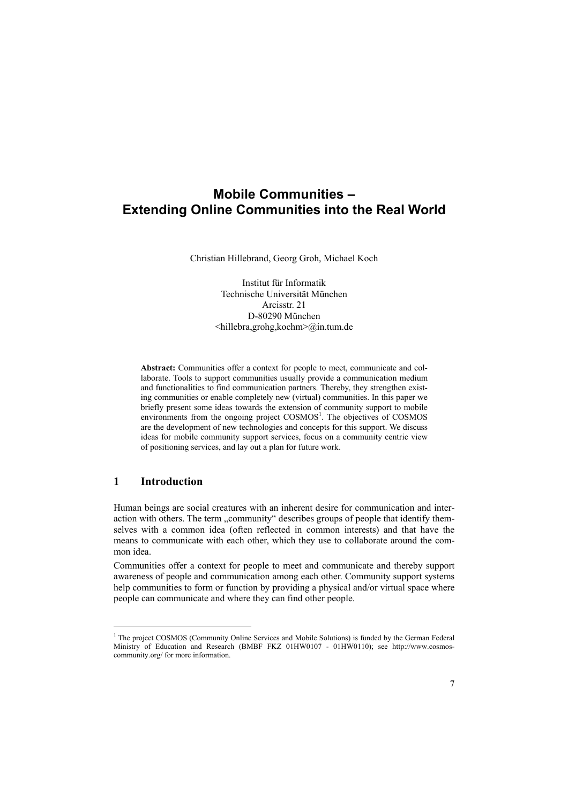# **Mobile Communities – Extending Online Communities into the Real World**

Christian Hillebrand, Georg Groh, Michael Koch

Institut für Informatik Technische Universität München Arcisstr. 21 D-80290 München <hillebra,grohg,kochm>@in.tum.de

**Abstract:** Communities offer a context for people to meet, communicate and collaborate. Tools to support communities usually provide a communication medium and functionalities to find communication partners. Thereby, they strengthen existing communities or enable completely new (virtual) communities. In this paper we briefly present some ideas towards the extension of community support to mobile environments from the ongoing project COSMOS<sup>1</sup>. The objectives of COSMOS are the development of new technologies and concepts for this support. We discuss ideas for mobile community support services, focus on a community centric view of positioning services, and lay out a plan for future work.

# **1 Introduction**

l

Human beings are social creatures with an inherent desire for communication and interaction with others. The term ...community describes groups of people that identify themselves with a common idea (often reflected in common interests) and that have the means to communicate with each other, which they use to collaborate around the common idea.

Communities offer a context for people to meet and communicate and thereby support awareness of people and communication among each other. Community support systems help communities to form or function by providing a physical and/or virtual space where people can communicate and where they can find other people.

<sup>&</sup>lt;sup>1</sup> The project COSMOS (Community Online Services and Mobile Solutions) is funded by the German Federal [Ministry of Education and Research \(BMBF FKZ 01HW0107 - 01HW0110\); see http://www.cosmos](http://www.cosmos-community.org/)community.org/ for more information.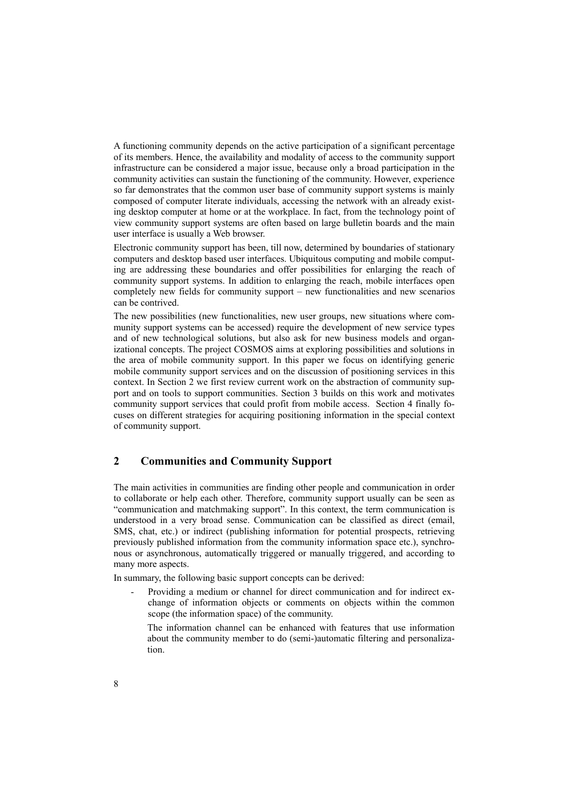A functioning community depends on the active participation of a significant percentage of its members. Hence, the availability and modality of access to the community support infrastructure can be considered a major issue, because only a broad participation in the community activities can sustain the functioning of the community. However, experience so far demonstrates that the common user base of community support systems is mainly composed of computer literate individuals, accessing the network with an already existing desktop computer at home or at the workplace. In fact, from the technology point of view community support systems are often based on large bulletin boards and the main user interface is usually a Web browser.

Electronic community support has been, till now, determined by boundaries of stationary computers and desktop based user interfaces. Ubiquitous computing and mobile computing are addressing these boundaries and offer possibilities for enlarging the reach of community support systems. In addition to enlarging the reach, mobile interfaces open completely new fields for community support – new functionalities and new scenarios can be contrived.

The new possibilities (new functionalities, new user groups, new situations where community support systems can be accessed) require the development of new service types and of new technological solutions, but also ask for new business models and organizational concepts. The project COSMOS aims at exploring possibilities and solutions in the area of mobile community support. In this paper we focus on identifying generic mobile community support services and on the discussion of positioning services in this context. In Section 2 we first review current work on the abstraction of community support and on tools to support communities. Section 3 builds on this work and motivates community support services that could profit from mobile access. Section 4 finally focuses on different strategies for acquiring positioning information in the special context of community support.

# **2 Communities and Community Support**

The main activities in communities are finding other people and communication in order to collaborate or help each other. Therefore, community support usually can be seen as "communication and matchmaking support". In this context, the term communication is understood in a very broad sense. Communication can be classified as direct (email, SMS, chat, etc.) or indirect (publishing information for potential prospects, retrieving previously published information from the community information space etc.), synchronous or asynchronous, automatically triggered or manually triggered, and according to many more aspects.

In summary, the following basic support concepts can be derived:

- Providing a medium or channel for direct communication and for indirect exchange of information objects or comments on objects within the common scope (the information space) of the community.

The information channel can be enhanced with features that use information about the community member to do (semi-)automatic filtering and personalization.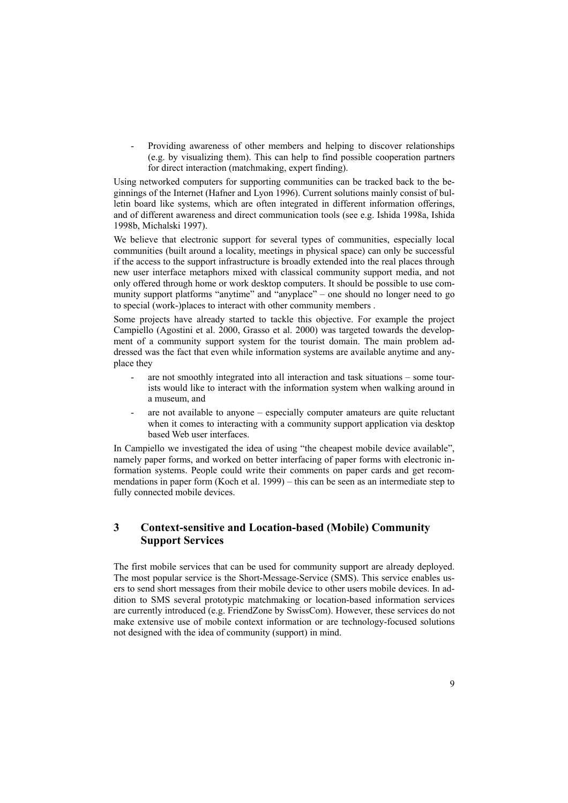- Providing awareness of other members and helping to discover relationships (e.g. by visualizing them). This can help to find possible cooperation partners for direct interaction (matchmaking, expert finding).

Using networked computers for supporting communities can be tracked back to the beginnings of the Internet (Hafner and Lyon 1996). Current solutions mainly consist of bulletin board like systems, which are often integrated in different information offerings, and of different awareness and direct communication tools (see e.g. Ishida 1998a, Ishida 1998b, Michalski 1997).

We believe that electronic support for several types of communities, especially local communities (built around a locality, meetings in physical space) can only be successful if the access to the support infrastructure is broadly extended into the real places through new user interface metaphors mixed with classical community support media, and not only offered through home or work desktop computers. It should be possible to use community support platforms "anytime" and "anyplace" – one should no longer need to go to special (work-)places to interact with other community members .

Some projects have already started to tackle this objective. For example the project Campiello (Agostini et al. 2000, Grasso et al. 2000) was targeted towards the development of a community support system for the tourist domain. The main problem addressed was the fact that even while information systems are available anytime and anyplace they

- are not smoothly integrated into all interaction and task situations some tourists would like to interact with the information system when walking around in a museum, and
- are not available to anyone especially computer amateurs are quite reluctant when it comes to interacting with a community support application via desktop based Web user interfaces.

In Campiello we investigated the idea of using "the cheapest mobile device available", namely paper forms, and worked on better interfacing of paper forms with electronic information systems. People could write their comments on paper cards and get recommendations in paper form (Koch et al. 1999) – this can be seen as an intermediate step to fully connected mobile devices.

# **3 Context-sensitive and Location-based (Mobile) Community Support Services**

The first mobile services that can be used for community support are already deployed. The most popular service is the Short-Message-Service (SMS). This service enables users to send short messages from their mobile device to other users mobile devices. In addition to SMS several prototypic matchmaking or location-based information services are currently introduced (e.g. FriendZone by SwissCom). However, these services do not make extensive use of mobile context information or are technology-focused solutions not designed with the idea of community (support) in mind.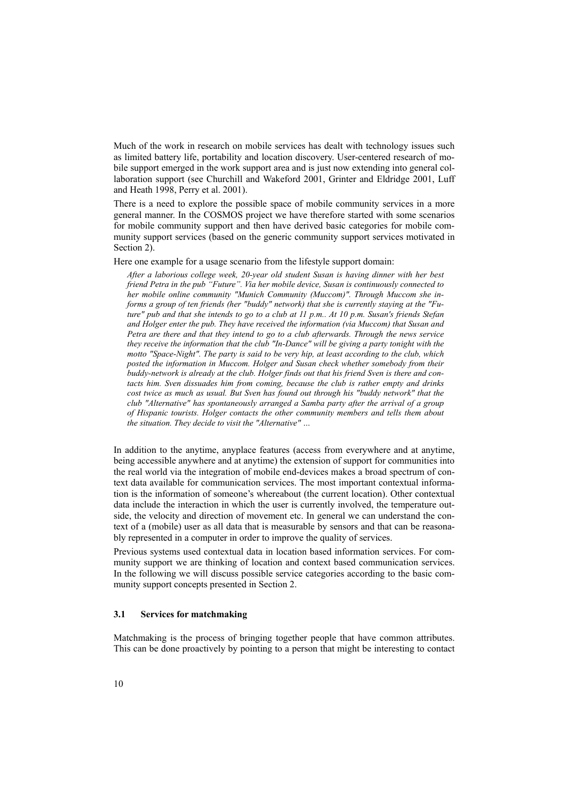Much of the work in research on mobile services has dealt with technology issues such as limited battery life, portability and location discovery. User-centered research of mobile support emerged in the work support area and is just now extending into general collaboration support (see Churchill and Wakeford 2001, Grinter and Eldridge 2001, Luff and Heath 1998, Perry et al. 2001).

There is a need to explore the possible space of mobile community services in a more general manner. In the COSMOS project we have therefore started with some scenarios for mobile community support and then have derived basic categories for mobile community support services (based on the generic community support services motivated in Section 2).

Here one example for a usage scenario from the lifestyle support domain:

*After a laborious college week, 20-year old student Susan is having dinner with her best friend Petra in the pub "Future". Via her mobile device, Susan is continuously connected to her mobile online community "Munich Community (Muccom)". Through Muccom she informs a group of ten friends (her "buddy" network) that she is currently staying at the "Future" pub and that she intends to go to a club at 11 p.m.. At 10 p.m. Susan's friends Stefan and Holger enter the pub. They have received the information (via Muccom) that Susan and Petra are there and that they intend to go to a club afterwards. Through the news service they receive the information that the club "In-Dance" will be giving a party tonight with the motto "Space-Night". The party is said to be very hip, at least according to the club, which posted the information in Muccom. Holger and Susan check whether somebody from their buddy-network is already at the club. Holger finds out that his friend Sven is there and contacts him. Sven dissuades him from coming, because the club is rather empty and drinks cost twice as much as usual. But Sven has found out through his "buddy network" that the club "Alternative" has spontaneously arranged a Samba party after the arrival of a group of Hispanic tourists. Holger contacts the other community members and tells them about the situation. They decide to visit the "Alternative" …* 

In addition to the anytime, anyplace features (access from everywhere and at anytime, being accessible anywhere and at anytime) the extension of support for communities into the real world via the integration of mobile end-devices makes a broad spectrum of context data available for communication services. The most important contextual information is the information of someone's whereabout (the current location). Other contextual data include the interaction in which the user is currently involved, the temperature outside, the velocity and direction of movement etc. In general we can understand the context of a (mobile) user as all data that is measurable by sensors and that can be reasonably represented in a computer in order to improve the quality of services.

Previous systems used contextual data in location based information services. For community support we are thinking of location and context based communication services. In the following we will discuss possible service categories according to the basic community support concepts presented in Section 2.

### **3.1 Services for matchmaking**

Matchmaking is the process of bringing together people that have common attributes. This can be done proactively by pointing to a person that might be interesting to contact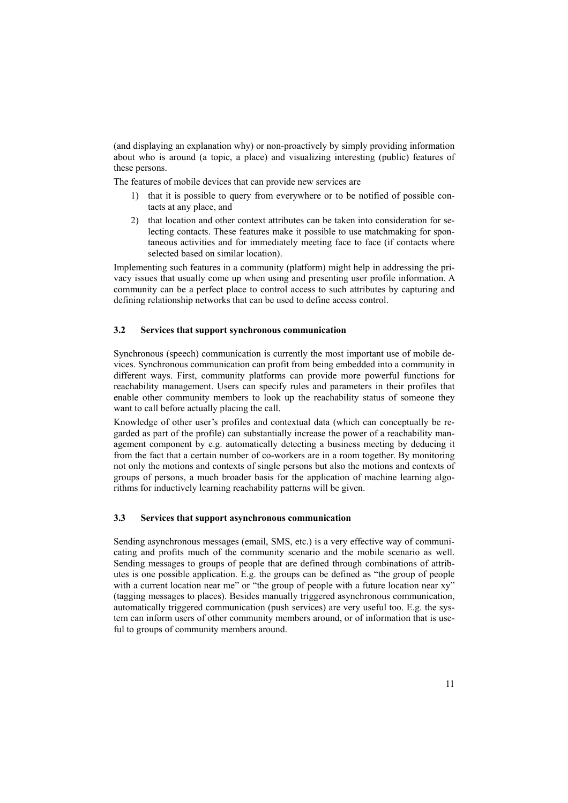(and displaying an explanation why) or non-proactively by simply providing information about who is around (a topic, a place) and visualizing interesting (public) features of these persons.

The features of mobile devices that can provide new services are

- 1) that it is possible to query from everywhere or to be notified of possible contacts at any place, and
- 2) that location and other context attributes can be taken into consideration for selecting contacts. These features make it possible to use matchmaking for spontaneous activities and for immediately meeting face to face (if contacts where selected based on similar location).

Implementing such features in a community (platform) might help in addressing the privacy issues that usually come up when using and presenting user profile information. A community can be a perfect place to control access to such attributes by capturing and defining relationship networks that can be used to define access control.

### **3.2 Services that support synchronous communication**

Synchronous (speech) communication is currently the most important use of mobile devices. Synchronous communication can profit from being embedded into a community in different ways. First, community platforms can provide more powerful functions for reachability management. Users can specify rules and parameters in their profiles that enable other community members to look up the reachability status of someone they want to call before actually placing the call.

Knowledge of other user's profiles and contextual data (which can conceptually be regarded as part of the profile) can substantially increase the power of a reachability management component by e.g. automatically detecting a business meeting by deducing it from the fact that a certain number of co-workers are in a room together. By monitoring not only the motions and contexts of single persons but also the motions and contexts of groups of persons, a much broader basis for the application of machine learning algorithms for inductively learning reachability patterns will be given.

# **3.3 Services that support asynchronous communication**

Sending asynchronous messages (email, SMS, etc.) is a very effective way of communicating and profits much of the community scenario and the mobile scenario as well. Sending messages to groups of people that are defined through combinations of attributes is one possible application. E.g. the groups can be defined as "the group of people with a current location near me" or "the group of people with a future location near xy" (tagging messages to places). Besides manually triggered asynchronous communication, automatically triggered communication (push services) are very useful too. E.g. the system can inform users of other community members around, or of information that is useful to groups of community members around.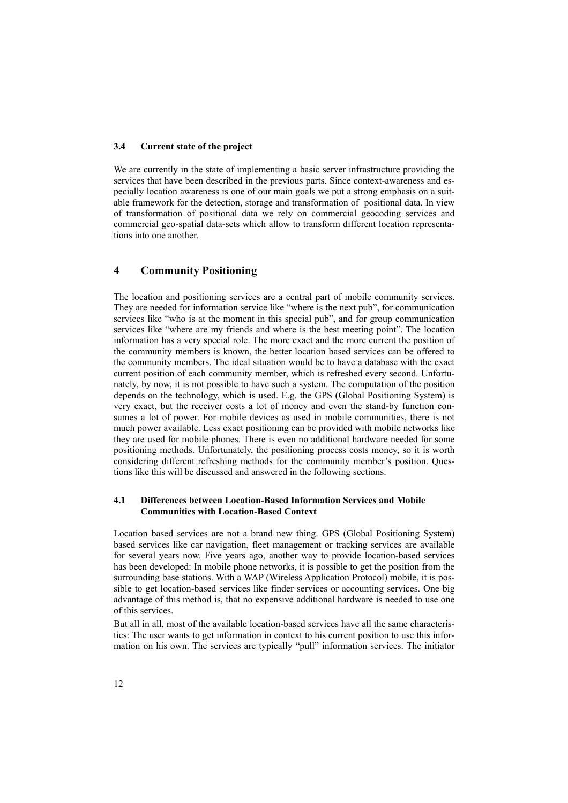### **3.4 Current state of the project**

We are currently in the state of implementing a basic server infrastructure providing the services that have been described in the previous parts. Since context-awareness and especially location awareness is one of our main goals we put a strong emphasis on a suitable framework for the detection, storage and transformation of positional data. In view of transformation of positional data we rely on commercial geocoding services and commercial geo-spatial data-sets which allow to transform different location representations into one another.

# **4 Community Positioning**

The location and positioning services are a central part of mobile community services. They are needed for information service like "where is the next pub", for communication services like "who is at the moment in this special pub", and for group communication services like "where are my friends and where is the best meeting point". The location information has a very special role. The more exact and the more current the position of the community members is known, the better location based services can be offered to the community members. The ideal situation would be to have a database with the exact current position of each community member, which is refreshed every second. Unfortunately, by now, it is not possible to have such a system. The computation of the position depends on the technology, which is used. E.g. the GPS (Global Positioning System) is very exact, but the receiver costs a lot of money and even the stand-by function consumes a lot of power. For mobile devices as used in mobile communities, there is not much power available. Less exact positioning can be provided with mobile networks like they are used for mobile phones. There is even no additional hardware needed for some positioning methods. Unfortunately, the positioning process costs money, so it is worth considering different refreshing methods for the community member's position. Questions like this will be discussed and answered in the following sections.

#### **4.1 Differences between Location-Based Information Services and Mobile Communities with Location-Based Context**

Location based services are not a brand new thing. GPS (Global Positioning System) based services like car navigation, fleet management or tracking services are available for several years now. Five years ago, another way to provide location-based services has been developed: In mobile phone networks, it is possible to get the position from the surrounding base stations. With a WAP (Wireless Application Protocol) mobile, it is possible to get location-based services like finder services or accounting services. One big advantage of this method is, that no expensive additional hardware is needed to use one of this services.

But all in all, most of the available location-based services have all the same characteristics: The user wants to get information in context to his current position to use this information on his own. The services are typically "pull" information services. The initiator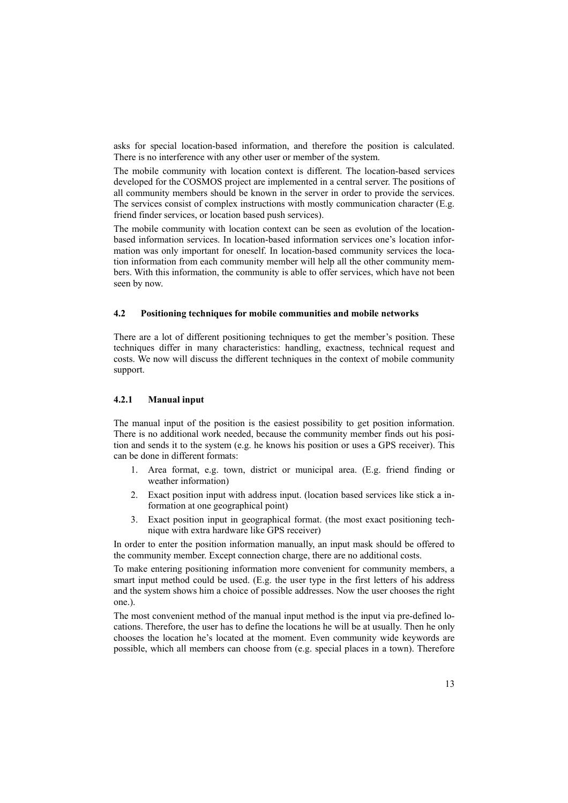asks for special location-based information, and therefore the position is calculated. There is no interference with any other user or member of the system.

The mobile community with location context is different. The location-based services developed for the COSMOS project are implemented in a central server. The positions of all community members should be known in the server in order to provide the services. The services consist of complex instructions with mostly communication character (E.g. friend finder services, or location based push services).

The mobile community with location context can be seen as evolution of the locationbased information services. In location-based information services one's location information was only important for oneself. In location-based community services the location information from each community member will help all the other community members. With this information, the community is able to offer services, which have not been seen by now.

#### **4.2 Positioning techniques for mobile communities and mobile networks**

There are a lot of different positioning techniques to get the member's position. These techniques differ in many characteristics: handling, exactness, technical request and costs. We now will discuss the different techniques in the context of mobile community support.

### **4.2.1 Manual input**

The manual input of the position is the easiest possibility to get position information. There is no additional work needed, because the community member finds out his position and sends it to the system (e.g. he knows his position or uses a GPS receiver). This can be done in different formats:

- 1. Area format, e.g. town, district or municipal area. (E.g. friend finding or weather information)
- 2. Exact position input with address input. (location based services like stick a information at one geographical point)
- 3. Exact position input in geographical format. (the most exact positioning technique with extra hardware like GPS receiver)

In order to enter the position information manually, an input mask should be offered to the community member. Except connection charge, there are no additional costs.

To make entering positioning information more convenient for community members, a smart input method could be used. (E.g. the user type in the first letters of his address and the system shows him a choice of possible addresses. Now the user chooses the right one.).

The most convenient method of the manual input method is the input via pre-defined locations. Therefore, the user has to define the locations he will be at usually. Then he only chooses the location he's located at the moment. Even community wide keywords are possible, which all members can choose from (e.g. special places in a town). Therefore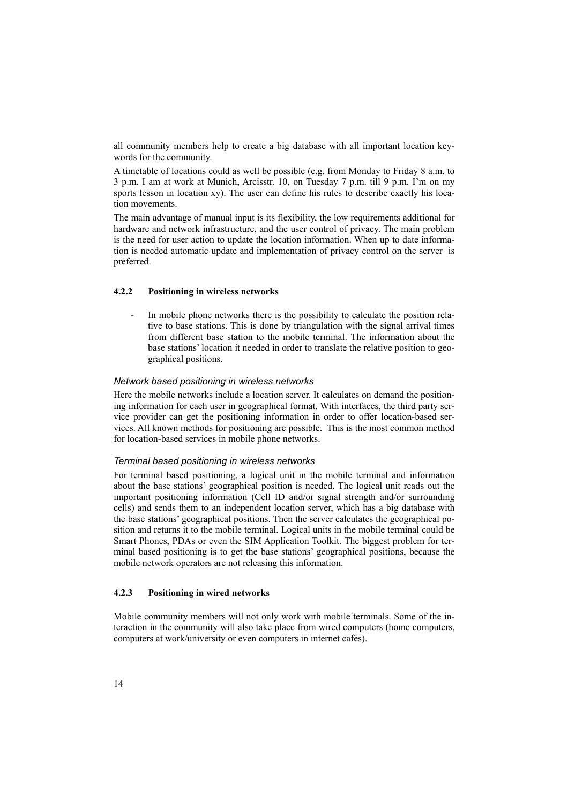all community members help to create a big database with all important location keywords for the community.

A timetable of locations could as well be possible (e.g. from Monday to Friday 8 a.m. to 3 p.m. I am at work at Munich, Arcisstr. 10, on Tuesday 7 p.m. till 9 p.m. I'm on my sports lesson in location xy). The user can define his rules to describe exactly his location movements.

The main advantage of manual input is its flexibility, the low requirements additional for hardware and network infrastructure, and the user control of privacy. The main problem is the need for user action to update the location information. When up to date information is needed automatic update and implementation of privacy control on the server is preferred.

#### **4.2.2 Positioning in wireless networks**

- In mobile phone networks there is the possibility to calculate the position relative to base stations. This is done by triangulation with the signal arrival times from different base station to the mobile terminal. The information about the base stations' location it needed in order to translate the relative position to geographical positions.

### *Network based positioning in wireless networks*

Here the mobile networks include a location server. It calculates on demand the positioning information for each user in geographical format. With interfaces, the third party service provider can get the positioning information in order to offer location-based services. All known methods for positioning are possible. This is the most common method for location-based services in mobile phone networks.

#### *Terminal based positioning in wireless networks*

For terminal based positioning, a logical unit in the mobile terminal and information about the base stations' geographical position is needed. The logical unit reads out the important positioning information (Cell ID and/or signal strength and/or surrounding cells) and sends them to an independent location server, which has a big database with the base stations' geographical positions. Then the server calculates the geographical position and returns it to the mobile terminal. Logical units in the mobile terminal could be Smart Phones, PDAs or even the SIM Application Toolkit. The biggest problem for terminal based positioning is to get the base stations' geographical positions, because the mobile network operators are not releasing this information.

# **4.2.3 Positioning in wired networks**

Mobile community members will not only work with mobile terminals. Some of the interaction in the community will also take place from wired computers (home computers, computers at work/university or even computers in internet cafes).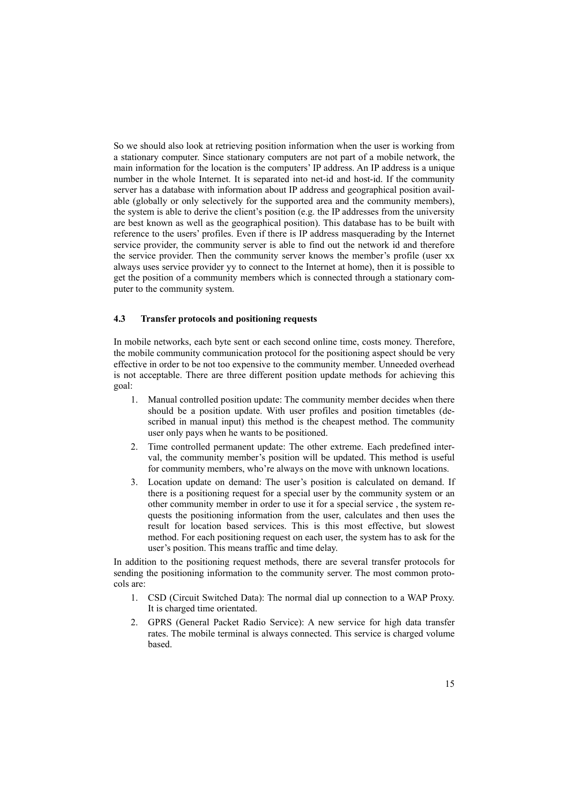So we should also look at retrieving position information when the user is working from a stationary computer. Since stationary computers are not part of a mobile network, the main information for the location is the computers' IP address. An IP address is a unique number in the whole Internet. It is separated into net-id and host-id. If the community server has a database with information about IP address and geographical position available (globally or only selectively for the supported area and the community members), the system is able to derive the client's position (e.g. the IP addresses from the university are best known as well as the geographical position). This database has to be built with reference to the users' profiles. Even if there is IP address masquerading by the Internet service provider, the community server is able to find out the network id and therefore the service provider. Then the community server knows the member's profile (user xx always uses service provider yy to connect to the Internet at home), then it is possible to get the position of a community members which is connected through a stationary computer to the community system.

### **4.3 Transfer protocols and positioning requests**

In mobile networks, each byte sent or each second online time, costs money. Therefore, the mobile community communication protocol for the positioning aspect should be very effective in order to be not too expensive to the community member. Unneeded overhead is not acceptable. There are three different position update methods for achieving this goal:

- 1. Manual controlled position update: The community member decides when there should be a position update. With user profiles and position timetables (described in manual input) this method is the cheapest method. The community user only pays when he wants to be positioned.
- 2. Time controlled permanent update: The other extreme. Each predefined interval, the community member's position will be updated. This method is useful for community members, who're always on the move with unknown locations.
- 3. Location update on demand: The user's position is calculated on demand. If there is a positioning request for a special user by the community system or an other community member in order to use it for a special service , the system requests the positioning information from the user, calculates and then uses the result for location based services. This is this most effective, but slowest method. For each positioning request on each user, the system has to ask for the user's position. This means traffic and time delay.

In addition to the positioning request methods, there are several transfer protocols for sending the positioning information to the community server. The most common protocols are:

- 1. CSD (Circuit Switched Data): The normal dial up connection to a WAP Proxy. It is charged time orientated.
- 2. GPRS (General Packet Radio Service): A new service for high data transfer rates. The mobile terminal is always connected. This service is charged volume based.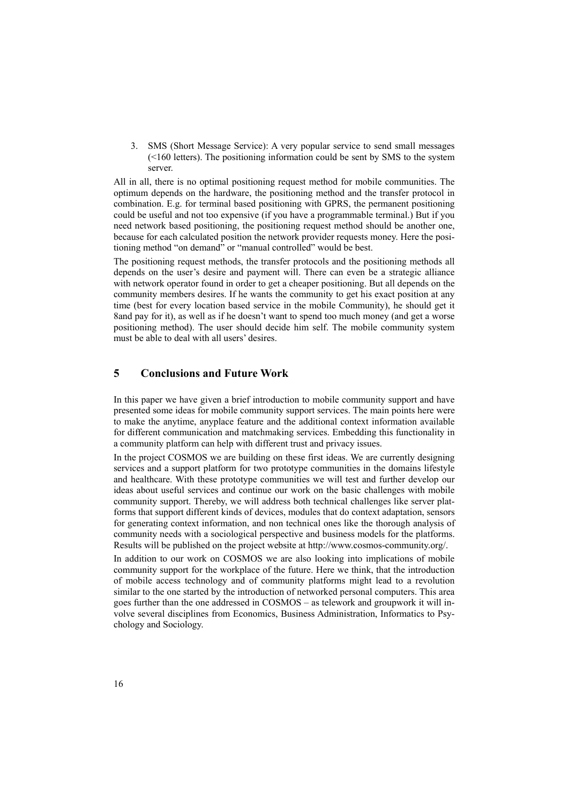3. SMS (Short Message Service): A very popular service to send small messages (<160 letters). The positioning information could be sent by SMS to the system server.

All in all, there is no optimal positioning request method for mobile communities. The optimum depends on the hardware, the positioning method and the transfer protocol in combination. E.g. for terminal based positioning with GPRS, the permanent positioning could be useful and not too expensive (if you have a programmable terminal.) But if you need network based positioning, the positioning request method should be another one, because for each calculated position the network provider requests money. Here the positioning method "on demand" or "manual controlled" would be best.

The positioning request methods, the transfer protocols and the positioning methods all depends on the user's desire and payment will. There can even be a strategic alliance with network operator found in order to get a cheaper positioning. But all depends on the community members desires. If he wants the community to get his exact position at any time (best for every location based service in the mobile Community), he should get it 8and pay for it), as well as if he doesn't want to spend too much money (and get a worse positioning method). The user should decide him self. The mobile community system must be able to deal with all users' desires.

# **5 Conclusions and Future Work**

In this paper we have given a brief introduction to mobile community support and have presented some ideas for mobile community support services. The main points here were to make the anytime, anyplace feature and the additional context information available for different communication and matchmaking services. Embedding this functionality in a community platform can help with different trust and privacy issues.

In the project COSMOS we are building on these first ideas. We are currently designing services and a support platform for two prototype communities in the domains lifestyle and healthcare. With these prototype communities we will test and further develop our ideas about useful services and continue our work on the basic challenges with mobile community support. Thereby, we will address both technical challenges like server platforms that support different kinds of devices, modules that do context adaptation, sensors for generating context information, and non technical ones like the thorough analysis of community needs with a sociological perspective and business models for the platforms. Results will be published on the project website at [http://www.cosmos-community.org/.](http://www.cosmos-community.org/)

In addition to our work on COSMOS we are also looking into implications of mobile community support for the workplace of the future. Here we think, that the introduction of mobile access technology and of community platforms might lead to a revolution similar to the one started by the introduction of networked personal computers. This area goes further than the one addressed in COSMOS – as telework and groupwork it will involve several disciplines from Economics, Business Administration, Informatics to Psychology and Sociology.